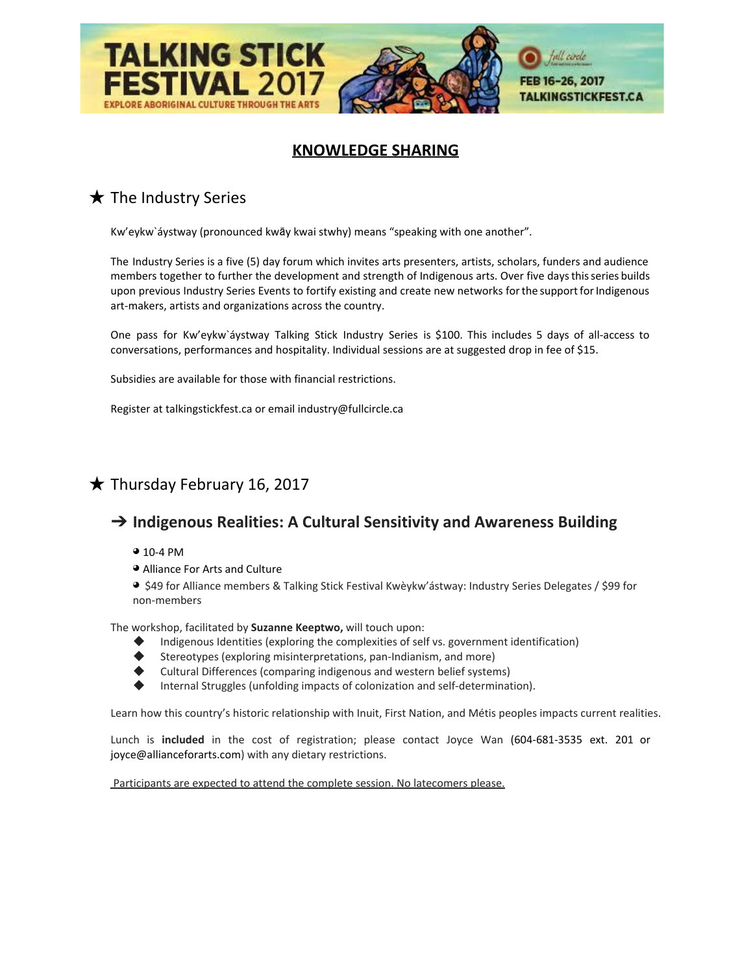

## **KNOWLEDGE SHARING**

# **★ The Industry Series**

Kw'eykw`áystway (pronounced kwāy kwai stwhy) means "speaking with one another".

The Industry Series is a five (5) day forum which invites arts presenters, artists, scholars, funders and audience members together to further the development and strength of Indigenous arts. Over five daysthisseries builds upon previous Industry Series Events to fortify existing and create new networks for the support for Indigenous art-makers, artists and organizations across the country.

One pass for Kw'eykw`áystway Talking Stick Industry Series is \$100. This includes 5 days of all-access to conversations, performances and hospitality. Individual sessions are at suggested drop in fee of \$15.

Subsidies are available for those with financial restrictions.

Register at talkingstickfest.ca or email industry@fullcircle.ca

## $\bigstar$  Thursday February 16, 2017

### ➔ **Indigenous Realities: A Cultural Sensitivity and Awareness Building**

- ◕ 10-4 PM
- ◕ Alliance For Arts and Culture

◕ \$49 for Alliance members & Talking Stick Festival Kwèykw'ástway: Industry Series Delegates / \$99 for non-members

The workshop, facilitated by **Suzanne Keeptwo,** will touch upon:

- Indigenous Identities (exploring the complexities of self vs. government identification)
- Stereotypes (exploring misinterpretations, pan-Indianism, and more)
- Cultural Differences (comparing indigenous and western belief systems)
- Internal Struggles (unfolding impacts of colonization and self-determination).

Learn how this country's historic relationship with Inuit, First Nation, and Métis peoples impacts current realities.

Lunch is **included** in the cost of registration; please contact Joyce Wan (604-681-3535 ext. 201 or joyce@allianceforarts.com) with any dietary restrictions.

Participants are expected to attend the complete session. No latecomers please.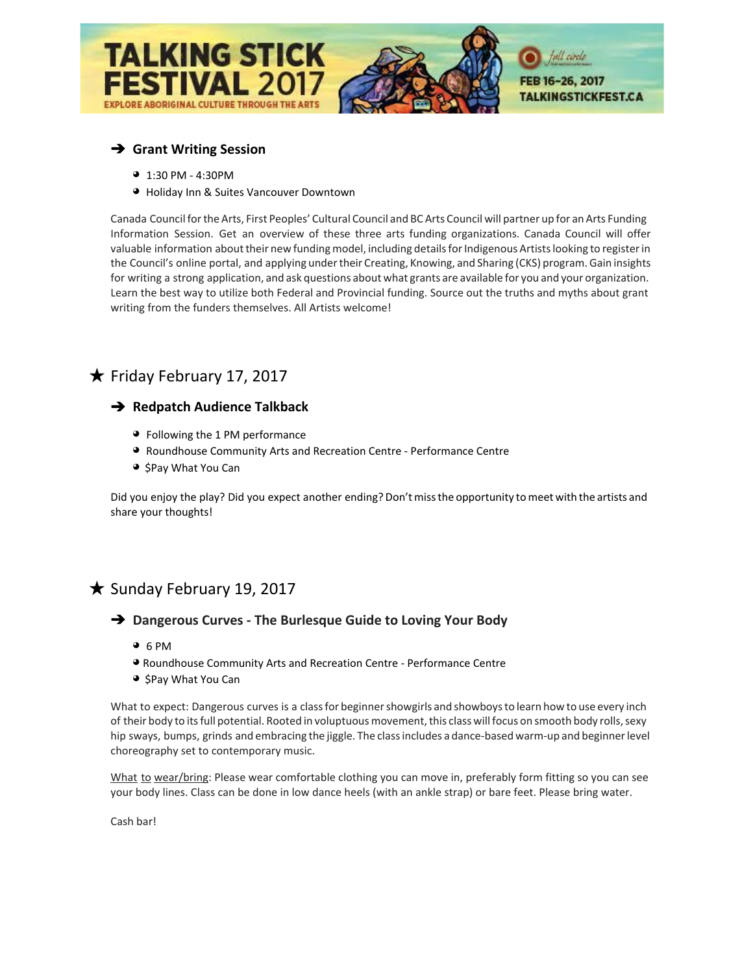

### ➔ **Grant Writing Session**

- ◕1:30 PM 4:30PM
- ◕ Holiday Inn & Suites Vancouver Downtown

Canada Council forthe Arts, First Peoples' Cultural Council and BC Arts Council will partner up for an Arts Funding Information Session. Get an overview of these three arts funding organizations. Canada Council will offer valuable information about their new funding model, including details for Indigenous Artists looking to register in the Council's online portal, and applying undertheir Creating, Knowing, and Sharing (CKS) program. Gain insights for writing a strong application, and ask questions about what grants are available for you and your organization. Learn the best way to utilize both Federal and Provincial funding. Source out the truths and myths about grant writing from the funders themselves. All Artists welcome!

## ★ Friday February 17, 2017

#### ➔ **Redpatch Audience Talkback**

- ◕Following the 1 PM performance
- ◕ Roundhouse Community Arts and Recreation Centre Performance Centre
- ◕ \$Pay What You Can

Did you enjoy the play? Did you expect another ending? Don'tmissthe opportunity tomeet with the artists and share your thoughts!

### ★ Sunday February 19, 2017

#### ➔ **Dangerous Curves - The Burlesque Guide to Loving Your Body**

- ◕6 PM
- ◕ Roundhouse Community Arts and Recreation Centre Performance Centre
- ◕ \$Pay What You Can

What to expect: Dangerous curves is a class for beginner showgirls and showboys to learn how to use every inch of their body to its full potential. Rooted in voluptuous movement, this class will focus on smooth body rolls, sexy hip sways, bumps, grinds and embracing the jiggle. The classincludes a dance-based warm-up and beginnerlevel choreography set to contemporary music.

What to wear/bring: Please wear comfortable clothing you can move in, preferably form fitting so you can see your body lines. Class can be done in low dance heels (with an ankle strap) or bare feet. Please bring water.

Cash bar!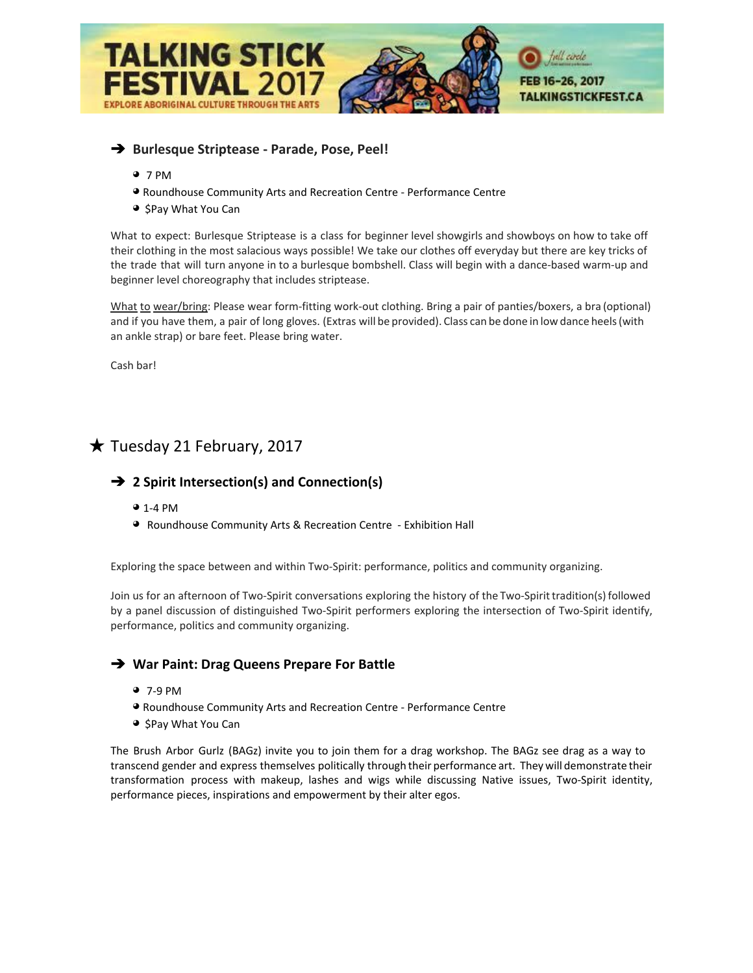

### ➔ **Burlesque Striptease - Parade, Pose, Peel!**

- ◕7 PM
- ◕ Roundhouse Community Arts and Recreation Centre Performance Centre
- ◕ \$Pay What You Can

What to expect: Burlesque Striptease is a class for beginner level showgirls and showboys on how to take off their clothing in the most salacious ways possible! We take our clothes off everyday but there are key tricks of the trade that will turn anyone in to a burlesque bombshell. Class will begin with a dance-based warm-up and beginner level choreography that includes striptease.

What to wear/bring: Please wear form-fitting work-out clothing. Bring a pair of panties/boxers, a bra (optional) and if you have them, a pair of long gloves. (Extras will be provided). Class can be done in low dance heels(with an ankle strap) or bare feet. Please bring water.

Cash bar!

## $\bigstar$  Tuesday 21 February, 2017

#### ➔ **2 Spirit Intersection(s) and Connection(s)**

- ◕ 1-4 PM
- ◕ Roundhouse Community Arts & Recreation Centre Exhibition Hall

Exploring the space between and within Two-Spirit: performance, politics and community organizing.

Join us for an afternoon of Two-Spirit conversations exploring the history of the Two-Spirittradition(s) followed by a panel discussion of distinguished Two-Spirit performers exploring the intersection of Two-Spirit identify, performance, politics and community organizing.

#### ➔ **War Paint: Drag Queens Prepare For Battle**

- ◕ 7-9 PM
- ◕ Roundhouse Community Arts and Recreation Centre Performance Centre
- ◕ \$Pay What You Can

The Brush Arbor Gurlz (BAGz) invite you to join them for a drag workshop. The BAGz see drag as a way to transcend gender and express themselves politically through their performance art. They will demonstrate their transformation process with makeup, lashes and wigs while discussing Native issues, Two-Spirit identity, performance pieces, inspirations and empowerment by their alter egos.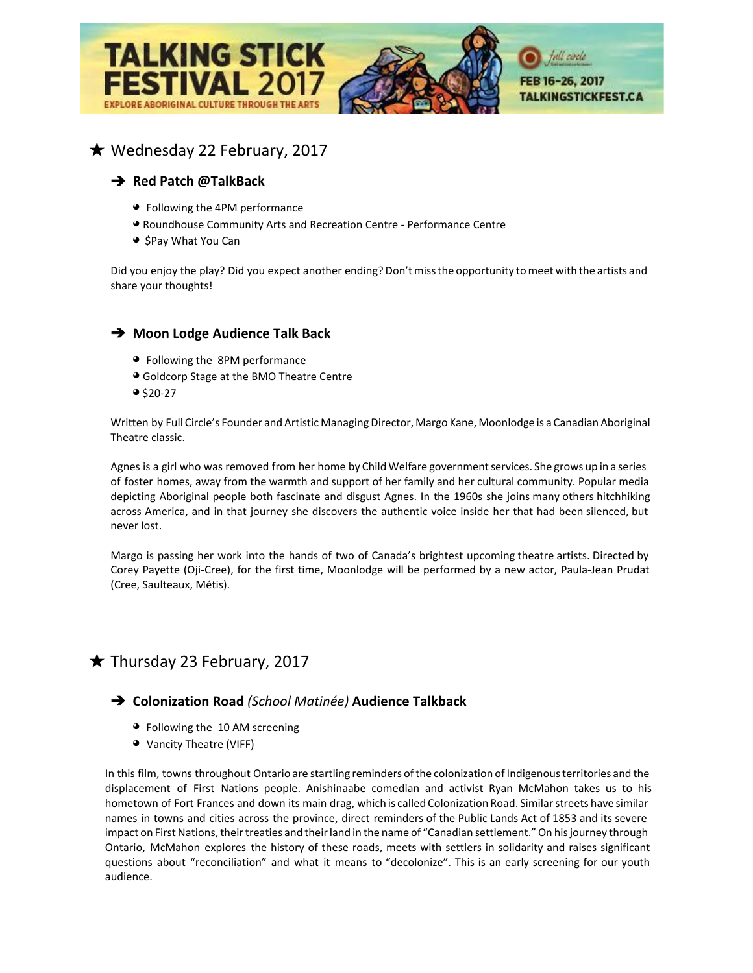

## ★ Wednesday 22 February, 2017

### ➔ **Red Patch @TalkBack**

- ◕Following the 4PM performance
- ◕ Roundhouse Community Arts and Recreation Centre Performance Centre
- ◕ \$Pay What You Can

Did you enjoy the play? Did you expect another ending? Don'tmissthe opportunity tomeet with the artists and share your thoughts!

#### ➔ **Moon Lodge Audience Talk Back**

- ◕Following the 8PM performance
- ◕ Goldcorp Stage at the BMO Theatre Centre
- $9520-27$

Written by Full Circle's Founder and Artistic Managing Director, Margo Kane, Moonlodge is a Canadian Aboriginal Theatre classic.

Agnes is a girl who was removed from her home by Child Welfare government services. She grows up in a series of foster homes, away from the warmth and support of her family and her cultural community. Popular media depicting Aboriginal people both fascinate and disgust Agnes. In the 1960s she joins many others hitchhiking across America, and in that journey she discovers the authentic voice inside her that had been silenced, but never lost.

Margo is passing her work into the hands of two of Canada's brightest upcoming theatre artists. Directed by Corey Payette (Oji-Cree), for the first time, Moonlodge will be performed by a new actor, Paula-Jean Prudat (Cree, Saulteaux, Métis).

## $\bigstar$  Thursday 23 February, 2017

### ➔ **Colonization Road** *(School Matinée)* **Audience Talkback**

- ◕Following the 10 AM screening
- ◕ Vancity Theatre (VIFF)

In this film, towns throughout Ontario are startling reminders ofthe colonization of Indigenousterritories and the displacement of First Nations people. Anishinaabe comedian and activist Ryan McMahon takes us to his hometown of Fort Frances and down its main drag, which is called Colonization Road. Similar streets have similar names in towns and cities across the province, direct reminders of the Public Lands Act of 1853 and its severe impact on First Nations, their treaties and their land in the name of "Canadian settlement." On his journey through Ontario, McMahon explores the history of these roads, meets with settlers in solidarity and raises significant questions about "reconciliation" and what it means to "decolonize". This is an early screening for our youth audience.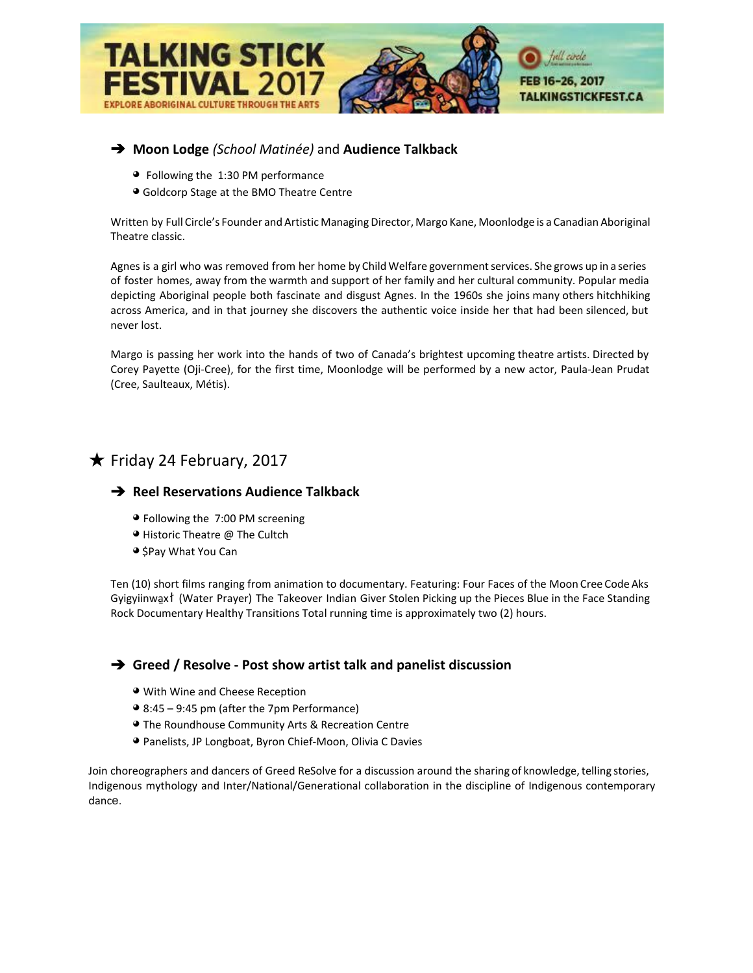

### ➔ **Moon Lodge** *(School Matinée)* and **Audience Talkback**

- ◕Following the 1:30 PM performance
- ◕ Goldcorp Stage at the BMO Theatre Centre

Written by Full Circle's Founder and Artistic Managing Director, Margo Kane, Moonlodge is a Canadian Aboriginal Theatre classic.

Agnes is a girl who was removed from her home by Child Welfare government services. She grows up in a series of foster homes, away from the warmth and support of her family and her cultural community. Popular media depicting Aboriginal people both fascinate and disgust Agnes. In the 1960s she joins many others hitchhiking across America, and in that journey she discovers the authentic voice inside her that had been silenced, but never lost.

Margo is passing her work into the hands of two of Canada's brightest upcoming theatre artists. Directed by Corey Payette (Oji-Cree), for the first time, Moonlodge will be performed by a new actor, Paula-Jean Prudat (Cree, Saulteaux, Métis).

## ★ Friday 24 February, 2017

#### ➔ **Reel Reservations Audience Talkback**

- ◕ Following the 7:00 PM screening
- ◕ Historic Theatre @ The Cultch
- ◕ \$Pay What You Can

Ten (10) short films ranging from animation to documentary. Featuring: Four Faces of the Moon Cree Code Aks Gyigyiinwa̱xł (Water Prayer) The Takeover Indian Giver Stolen Picking up the Pieces Blue in the Face Standing Rock Documentary Healthy Transitions Total running time is approximately two (2) hours.

#### ➔ **Greed / Resolve - Post show artist talk and panelist discussion**

- ◕ With Wine and Cheese Reception
- ◕ 8:45 9:45 pm (after the 7pm Performance)
- ◕ The Roundhouse Community Arts & Recreation Centre
- ◕ Panelists, JP Longboat, Byron Chief-Moon, Olivia C Davies

Join choreographers and dancers of Greed ReSolve for a discussion around the sharing of knowledge, telling stories, Indigenous mythology and Inter/National/Generational collaboration in the discipline of Indigenous contemporary dance.